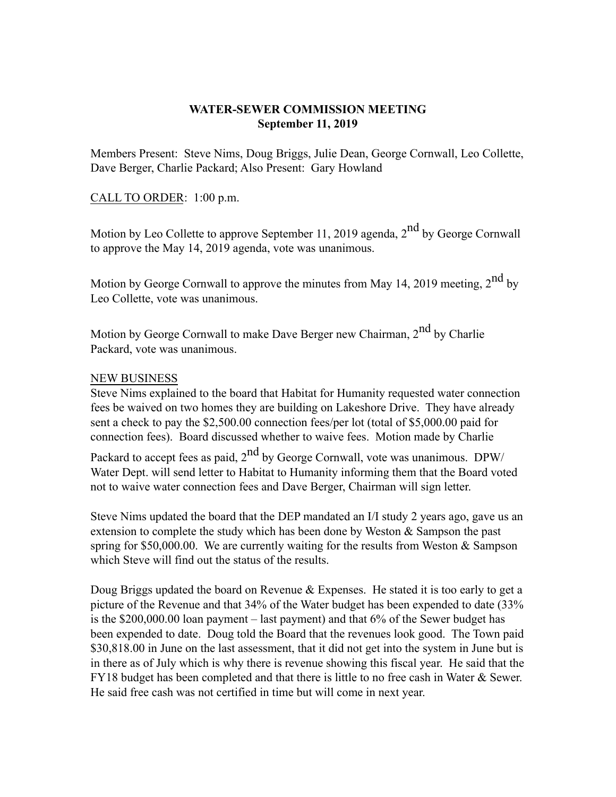## **WATER-SEWER COMMISSION MEETING September 11, 2019**

Members Present: Steve Nims, Doug Briggs, Julie Dean, George Cornwall, Leo Collette, Dave Berger, Charlie Packard; Also Present: Gary Howland

## CALL TO ORDER: 1:00 p.m.

Motion by Leo Collette to approve September 11, 2019 agenda,  $2<sup>nd</sup>$  by George Cornwall to approve the May 14, 2019 agenda, vote was unanimous.

Motion by George Cornwall to approve the minutes from May 14, 2019 meeting,  $2<sup>nd</sup>$  by Leo Collette, vote was unanimous.

Motion by George Cornwall to make Dave Berger new Chairman,  $2<sup>nd</sup>$  by Charlie Packard, vote was unanimous.

## NEW BUSINESS

Steve Nims explained to the board that Habitat for Humanity requested water connection fees be waived on two homes they are building on Lakeshore Drive. They have already sent a check to pay the \$2,500.00 connection fees/per lot (total of \$5,000.00 paid for connection fees). Board discussed whether to waive fees. Motion made by Charlie

Packard to accept fees as paid,  $2<sup>nd</sup>$  by George Cornwall, vote was unanimous. DPW/ Water Dept. will send letter to Habitat to Humanity informing them that the Board voted not to waive water connection fees and Dave Berger, Chairman will sign letter.

Steve Nims updated the board that the DEP mandated an I/I study 2 years ago, gave us an extension to complete the study which has been done by Weston & Sampson the past spring for \$50,000.00. We are currently waiting for the results from Weston & Sampson which Steve will find out the status of the results.

Doug Briggs updated the board on Revenue  $&$  Expenses. He stated it is too early to get a picture of the Revenue and that 34% of the Water budget has been expended to date (33% is the \$200,000.00 loan payment – last payment) and that 6% of the Sewer budget has been expended to date. Doug told the Board that the revenues look good. The Town paid \$30,818.00 in June on the last assessment, that it did not get into the system in June but is in there as of July which is why there is revenue showing this fiscal year. He said that the FY18 budget has been completed and that there is little to no free cash in Water & Sewer. He said free cash was not certified in time but will come in next year.